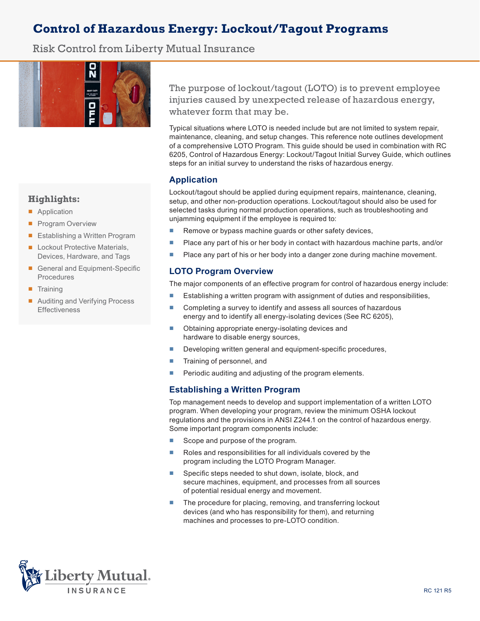# **Control of Hazardous Energy: Lockout/Tagout Programs**

Risk Control from Liberty Mutual Insurance



# **Highlights:**

- Application
- Program Overview
- Establishing a Written Program
- Lockout Protective Materials, Devices, Hardware, and Tags
- General and Equipment-Specific Procedures
- Training
- Auditing and Verifying Process Effectiveness

The purpose of lockout/tagout (LOTO) is to prevent employee injuries caused by unexpected release of hazardous energy, whatever form that may be.

Typical situations where LOTO is needed include but are not limited to system repair, maintenance, cleaning, and setup changes. This reference note outlines development of a comprehensive LOTO Program. This guide should be used in combination with RC 6205, Control of Hazardous Energy: Lockout/Tagout Initial Survey Guide, which outlines steps for an initial survey to understand the risks of hazardous energy.

# **Application**

Lockout/tagout should be applied during equipment repairs, maintenance, cleaning, setup, and other non-production operations. Lockout/tagout should also be used for selected tasks during normal production operations, such as troubleshooting and unjamming equipment if the employee is required to:

- Remove or bypass machine guards or other safety devices,
- Place any part of his or her body in contact with hazardous machine parts, and/or
- Place any part of his or her body into a danger zone during machine movement.

#### **LOTO Program Overview**

The major components of an effective program for control of hazardous energy include:

- Establishing a written program with assignment of duties and responsibilities,
- Completing a survey to identify and assess all sources of hazardous energy and to identify all energy-isolating devices (See RC 6205),
- Obtaining appropriate energy-isolating devices and hardware to disable energy sources,
- Developing written general and equipment-specific procedures,
- Training of personnel, and
- Periodic auditing and adjusting of the program elements.

# **Establishing a Written Program**

Top management needs to develop and support implementation of a written LOTO program. When developing your program, review the minimum OSHA lockout regulations and the provisions in ANSI Z244.1 on the control of hazardous energy. Some important program components include:

- Scope and purpose of the program.
- Roles and responsibilities for all individuals covered by the program including the LOTO Program Manager.
- Specific steps needed to shut down, isolate, block, and secure machines, equipment, and processes from all sources of potential residual energy and movement.
- The procedure for placing, removing, and transferring lockout devices (and who has responsibility for them), and returning machines and processes to pre-LOTO condition.

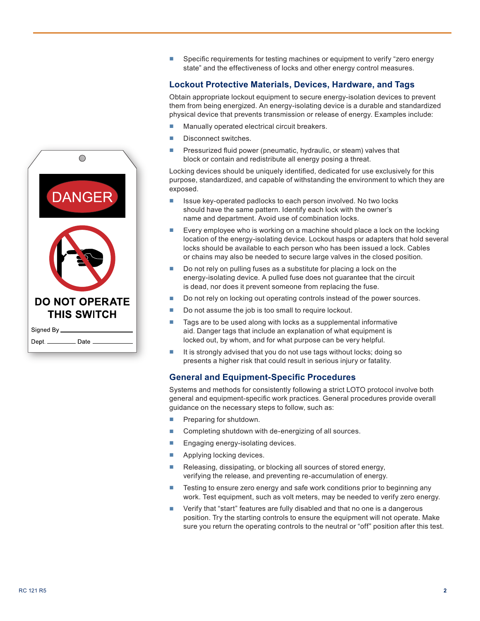

■ Specific requirements for testing machines or equipment to verify "zero energy state" and the effectiveness of locks and other energy control measures.

### **Lockout Protective Materials, Devices, Hardware, and Tags**

Obtain appropriate lockout equipment to secure energy-isolation devices to prevent them from being energized. An energy-isolating device is a durable and standardized physical device that prevents transmission or release of energy. Examples include:

- Manually operated electrical circuit breakers.
- Disconnect switches.
- Pressurized fluid power (pneumatic, hydraulic, or steam) valves that block or contain and redistribute all energy posing a threat.

Locking devices should be uniquely identified, dedicated for use exclusively for this purpose, standardized, and capable of withstanding the environment to which they are exposed.

- Issue key-operated padlocks to each person involved. No two locks should have the same pattern. Identify each lock with the owner's name and department. Avoid use of combination locks.
- Every employee who is working on a machine should place a lock on the locking location of the energy-isolating device. Lockout hasps or adapters that hold several locks should be available to each person who has been issued a lock. Cables or chains may also be needed to secure large valves in the closed position.
- Do not rely on pulling fuses as a substitute for placing a lock on the energy-isolating device. A pulled fuse does not guarantee that the circuit is dead, nor does it prevent someone from replacing the fuse.
- Do not rely on locking out operating controls instead of the power sources.
- Do not assume the job is too small to require lockout.
- Tags are to be used along with locks as a supplemental informative aid. Danger tags that include an explanation of what equipment is locked out, by whom, and for what purpose can be very helpful.
- It is strongly advised that you do not use tags without locks; doing so presents a higher risk that could result in serious injury or fatality.

#### **General and Equipment-Specific Procedures**

Systems and methods for consistently following a strict LOTO protocol involve both general and equipment-specific work practices. General procedures provide overall guidance on the necessary steps to follow, such as:

- Preparing for shutdown.
- Completing shutdown with de-energizing of all sources.
- Engaging energy-isolating devices.
- Applying locking devices.
- Releasing, dissipating, or blocking all sources of stored energy, verifying the release, and preventing re-accumulation of energy.
- Testing to ensure zero energy and safe work conditions prior to beginning any work. Test equipment, such as volt meters, may be needed to verify zero energy.
- Verify that "start" features are fully disabled and that no one is a dangerous position. Try the starting controls to ensure the equipment will not operate. Make sure you return the operating controls to the neutral or "off" position after this test.